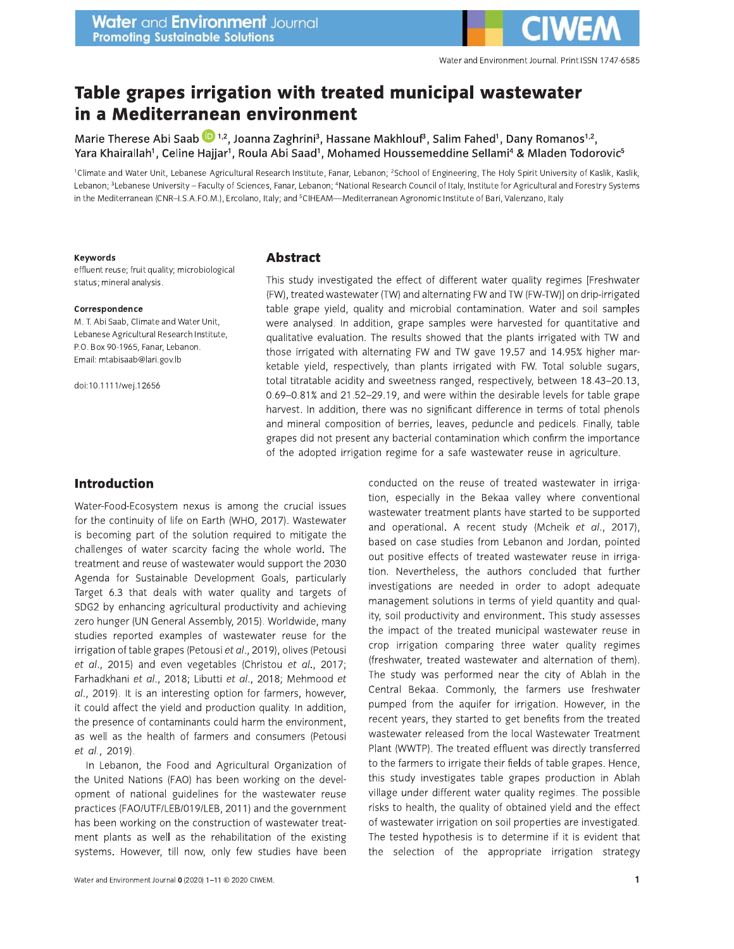

# Table grapes irrigation with treated municipal wastewater in a Mediterranean environment

Marie Therese Abi Saab <sup>1,2</sup>, Joanna Zaghrini<sup>3</sup>, Hassane Makhlouf<sup>3</sup>, Salim Fahed<sup>1</sup>, Dany Romanos<sup>1,2</sup>, Yara Khairallah<sup>1</sup>, Celine Hajjar<sup>1</sup>, Roula Abi Saad<sup>1</sup>, Mohamed Houssemeddine Sellami<sup>4</sup> & Mladen Todorovic<sup>5</sup>

<sup>1</sup>Climate and Water Unit, Lebanese Agricultural Research Institute, Fanar, Lebanon; <sup>2</sup>School of Engineering, The Holy Spirit University of Kaslik, Kaslik, Lebanon; <sup>3</sup>Lebanese University - Faculty of Sciences, Fanar, Lebanon; <sup>4</sup>National Research Council of Italy, Institute for Agricultural and Forestry Systems in the Mediterranean (CNR-I.S.A.FO.M.), Ercolano, Italy; and <sup>5</sup>CIHEAM—Mediterranean Agronomic Institute of Bari, Valenzano, Italy

#### Kevwords

effluent reuse; fruit quality; microbiological status; mineral analysis

#### Correspondence

M. T. Abi Saab, Climate and Water Unit, Lebanese Agricultural Research Institute, P.O. Box 90-1965, Fanar, Lebanon. Email: mtabisaab@lari.gov.lb

doi:10.1111/wej.12656

### **Abstract**

This study investigated the effect of different water quality regimes [Freshwater (FW), treated wastewater (TW) and alternating FW and TW (FW-TW)] on drip-irrigated table grape yield, quality and microbial contamination. Water and soil samples were analysed. In addition, grape samples were harvested for quantitative and qualitative evaluation. The results showed that the plants irrigated with TW and those irrigated with alternating FW and TW gave 19.57 and 14.95% higher marketable yield, respectively, than plants irrigated with FW. Total soluble sugars, total titratable acidity and sweetness ranged, respectively, between 18.43-20.13, 0.69-0.81% and 21.52-29.19, and were within the desirable levels for table grape harvest. In addition, there was no significant difference in terms of total phenols and mineral composition of berries, leaves, peduncle and pedicels. Finally, table grapes did not present any bacterial contamination which confirm the importance of the adopted irrigation regime for a safe wastewater reuse in agriculture.

### **Introduction**

Water-Food-Ecosystem nexus is among the crucial issues for the continuity of life on Earth (WHO, 2017). Wastewater is becoming part of the solution required to mitigate the challenges of water scarcity facing the whole world. The treatment and reuse of wastewater would support the 2030 Agenda for Sustainable Development Goals, particularly Target 6.3 that deals with water quality and targets of SDG2 by enhancing agricultural productivity and achieving zero hunger (UN General Assembly, 2015). Worldwide, many studies reported examples of wastewater reuse for the irrigation of table grapes (Petousi et al., 2019), olives (Petousi et al., 2015) and even vegetables (Christou et al., 2017; Farhadkhani et al., 2018; Libutti et al., 2018; Mehmood et al., 2019). It is an interesting option for farmers, however, it could affect the yield and production quality. In addition, the presence of contaminants could harm the environment. as well as the health of farmers and consumers (Petousi et al., 2019).

In Lebanon, the Food and Agricultural Organization of the United Nations (FAO) has been working on the development of national guidelines for the wastewater reuse practices (FAO/UTF/LEB/019/LEB, 2011) and the government has been working on the construction of wastewater treatment plants as well as the rehabilitation of the existing systems. However, till now, only few studies have been conducted on the reuse of treated wastewater in irrigation, especially in the Bekaa valley where conventional wastewater treatment plants have started to be supported and operational. A recent study (Mcheik et al., 2017), based on case studies from Lebanon and Jordan, pointed out positive effects of treated wastewater reuse in irrigation. Nevertheless, the authors concluded that further investigations are needed in order to adopt adequate management solutions in terms of yield quantity and quality, soil productivity and environment. This study assesses the impact of the treated municipal wastewater reuse in crop irrigation comparing three water quality regimes (freshwater, treated wastewater and alternation of them). The study was performed near the city of Ablah in the Central Bekaa. Commonly, the farmers use freshwater pumped from the aquifer for irrigation. However, in the recent years, they started to get benefits from the treated wastewater released from the local Wastewater Treatment Plant (WWTP). The treated effluent was directly transferred to the farmers to irrigate their fields of table grapes. Hence, this study investigates table grapes production in Ablah village under different water quality regimes. The possible risks to health, the quality of obtained yield and the effect of wastewater irrigation on soil properties are investigated. The tested hypothesis is to determine if it is evident that the selection of the appropriate irrigation strategy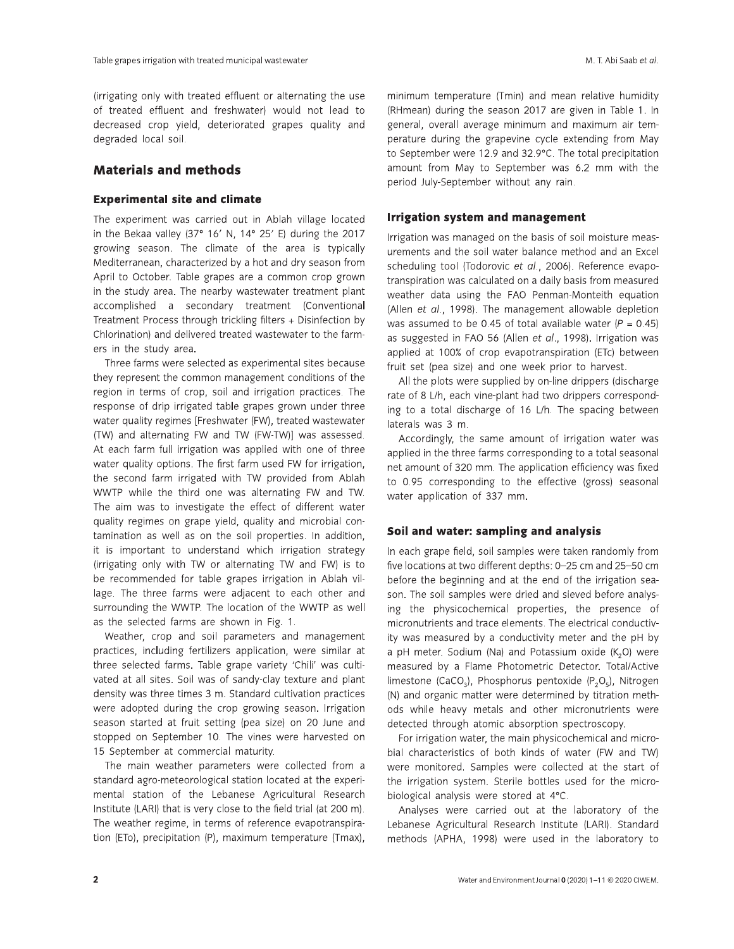(irrigating only with treated effluent or alternating the use of treated effluent and freshwater) would not lead to decreased crop yield, deteriorated grapes quality and degraded local soil.

### **Materials and methods**

#### **Experimental site and climate**

The experiment was carried out in Ablah village located in the Bekaa valley (37 $\degree$  16' N, 14 $\degree$  25' E) during the 2017 growing season. The climate of the area is typically Mediterranean, characterized by a hot and dry season from April to October. Table grapes are a common crop grown in the study area. The nearby wastewater treatment plant accomplished a secondary treatment (Conventional Treatment Process through trickling filters + Disinfection by Chlorination) and delivered treated wastewater to the farmers in the study area.

Three farms were selected as experimental sites because they represent the common management conditions of the region in terms of crop, soil and irrigation practices. The response of drip irrigated table grapes grown under three water quality regimes [Freshwater (FW), treated wastewater (TW) and alternating FW and TW (FW-TW)] was assessed. At each farm full irrigation was applied with one of three water quality options. The first farm used FW for irrigation, the second farm irrigated with TW provided from Ablah WWTP while the third one was alternating FW and TW. The aim was to investigate the effect of different water quality regimes on grape yield, quality and microbial contamination as well as on the soil properties. In addition, it is important to understand which irrigation strategy (irrigating only with TW or alternating TW and FW) is to be recommended for table grapes irrigation in Ablah village. The three farms were adjacent to each other and surrounding the WWTP. The location of the WWTP as well as the selected farms are shown in Fig. 1.

Weather, crop and soil parameters and management practices, including fertilizers application, were similar at three selected farms. Table grape variety 'Chili' was cultivated at all sites. Soil was of sandy-clay texture and plant density was three times 3 m. Standard cultivation practices were adopted during the crop growing season. Irrigation season started at fruit setting (pea size) on 20 June and stopped on September 10. The vines were harvested on 15 September at commercial maturity.

The main weather parameters were collected from a standard agro-meteorological station located at the experimental station of the Lebanese Agricultural Research Institute (LARI) that is very close to the field trial (at 200 m). The weather regime, in terms of reference evapotranspiration (ETo), precipitation (P), maximum temperature (Tmax),

minimum temperature (Tmin) and mean relative humidity (RHmean) during the season 2017 are given in Table 1. In general, overall average minimum and maximum air temperature during the grapevine cycle extending from May to September were 12.9 and 32.9°C. The total precipitation amount from May to September was 6.2 mm with the period July-September without any rain.

#### **Irrigation system and management**

Irrigation was managed on the basis of soil moisture measurements and the soil water balance method and an Excel scheduling tool (Todorovic et al., 2006). Reference evapotranspiration was calculated on a daily basis from measured weather data using the FAO Penman-Monteith equation (Allen et al., 1998). The management allowable depletion was assumed to be 0.45 of total available water ( $P = 0.45$ ) as suggested in FAO 56 (Allen et al., 1998). Irrigation was applied at 100% of crop evapotranspiration (ETc) between fruit set (pea size) and one week prior to harvest.

All the plots were supplied by on-line drippers (discharge rate of 8 L/h, each vine-plant had two drippers corresponding to a total discharge of 16 L/h. The spacing between laterals was 3 m.

Accordingly, the same amount of irrigation water was applied in the three farms corresponding to a total seasonal net amount of 320 mm. The application efficiency was fixed to 0.95 corresponding to the effective (gross) seasonal water application of 337 mm.

#### Soil and water: sampling and analysis

In each grape field, soil samples were taken randomly from five locations at two different depths: 0-25 cm and 25-50 cm before the beginning and at the end of the irrigation season. The soil samples were dried and sieved before analysing the physicochemical properties, the presence of micronutrients and trace elements. The electrical conductivity was measured by a conductivity meter and the pH by a pH meter. Sodium (Na) and Potassium oxide (K<sub>2</sub>O) were measured by a Flame Photometric Detector. Total/Active limestone (CaCO<sub>2</sub>), Phosphorus pentoxide  $(P_2O_2)$ , Nitrogen (N) and organic matter were determined by titration methods while heavy metals and other micronutrients were detected through atomic absorption spectroscopy.

For irrigation water, the main physicochemical and microbial characteristics of both kinds of water (FW and TW) were monitored. Samples were collected at the start of the irrigation system. Sterile bottles used for the microbiological analysis were stored at 4°C.

Analyses were carried out at the laboratory of the Lebanese Agricultural Research Institute (LARI). Standard methods (APHA, 1998) were used in the laboratory to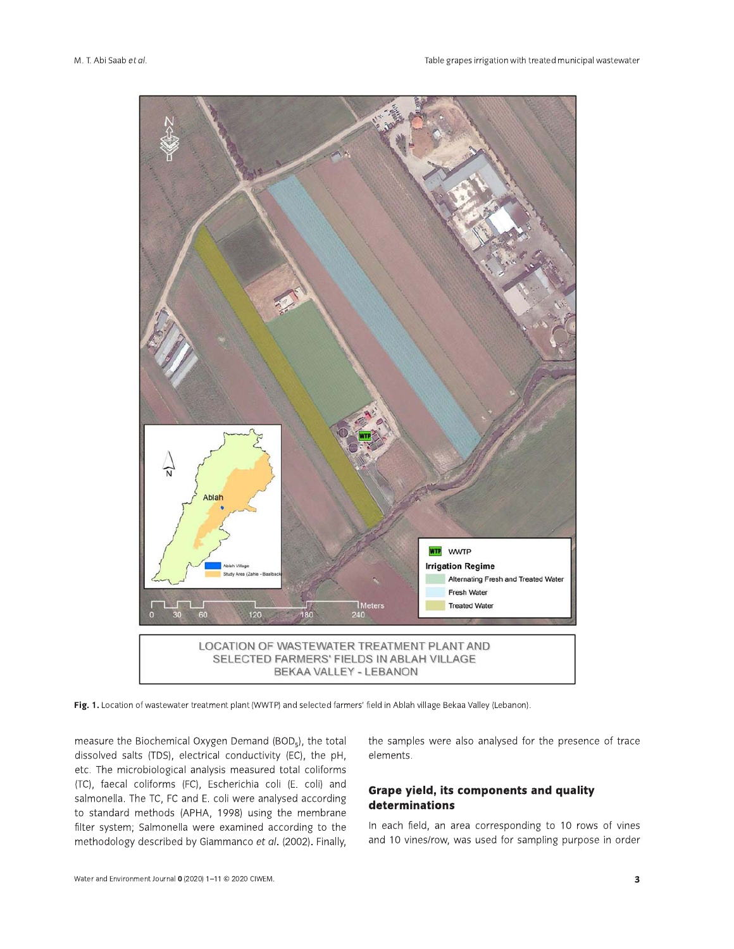

Fig. 1. Location of wastewater treatment plant (WWTP) and selected farmers' field in Ablah village Bekaa Valley (Lebanon).

measure the Biochemical Oxygen Demand (BOD<sub>5</sub>), the total dissolved salts (TDS), electrical conductivity (EC), the pH, etc. The microbiological analysis measured total coliforms (TC), faecal coliforms (FC), Escherichia coli (E. coli) and salmonella. The TC, FC and E. coli were analysed according to standard methods (APHA, 1998) using the membrane filter system; Salmonella were examined according to the methodology described by Giammanco et al. (2002). Finally,

the samples were also analysed for the presence of trace elements.

## **Grape yield, its components and quality** determinations

In each field, an area corresponding to 10 rows of vines and 10 vines/row, was used for sampling purpose in order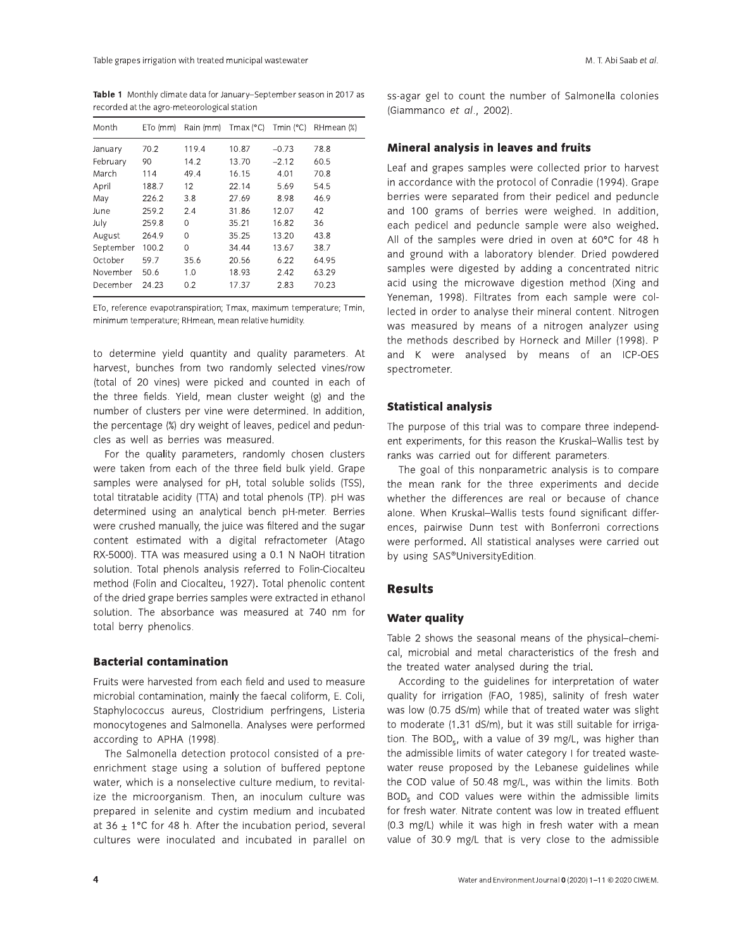Table 1 Monthly climate data for January-September season in 2017 as recorded at the agro-meteorological station

| Month     | ETo (mm) |       | Rain (mm) Tmax (°C) Tmin (°C) |         | RHmean (%) |
|-----------|----------|-------|-------------------------------|---------|------------|
| January   | 70.2     | 119.4 | 10.87                         | $-0.73$ | 78.8       |
| February  | 90       | 14.2  | 13.70                         | $-2.12$ | 60.5       |
| March     | 114      | 49.4  | 16.15                         | 4.01    | 70.8       |
| April     | 188.7    | 12    | 22.14                         | 5.69    | 54.5       |
| May       | 226.2    | 3.8   | 27.69                         | 8.98    | 46.9       |
| June      | 259.2    | 2.4   | 31.86                         | 12.07   | 42         |
| July      | 259.8    | 0     | 35.21                         | 16.82   | 36         |
| August    | 264.9    | 0     | 35.25                         | 13.20   | 43.8       |
| September | 100.2    | 0     | 34.44                         | 13.67   | 38.7       |
| October   | 59.7     | 35.6  | 20.56                         | 6.22    | 64.95      |
| November  | 50.6     | 1.0   | 18.93                         | 2.42    | 63.29      |
| December  | 24.23    | 0.2   | 17.37                         | 2.83    | 70.23      |

ETo, reference evapotranspiration; Tmax, maximum temperature; Tmin, minimum temperature; RHmean, mean relative humidity.

to determine yield quantity and quality parameters. At harvest, bunches from two randomly selected vines/row (total of 20 vines) were picked and counted in each of the three fields. Yield, mean cluster weight (g) and the number of clusters per vine were determined. In addition, the percentage (%) dry weight of leaves, pedicel and peduncles as well as berries was measured.

For the quality parameters, randomly chosen clusters were taken from each of the three field bulk yield. Grape samples were analysed for pH, total soluble solids (TSS), total titratable acidity (TTA) and total phenols (TP). pH was determined using an analytical bench pH-meter. Berries were crushed manually, the juice was filtered and the sugar content estimated with a digital refractometer (Atago RX-5000). TTA was measured using a 0.1 N NaOH titration solution. Total phenols analysis referred to Folin-Ciocalteu method (Folin and Ciocalteu, 1927). Total phenolic content of the dried grape berries samples were extracted in ethanol solution. The absorbance was measured at 740 nm for total berry phenolics.

#### **Bacterial contamination**

Fruits were harvested from each field and used to measure microbial contamination, mainly the faecal coliform, E. Coli, Staphylococcus aureus, Clostridium perfringens, Listeria monocytogenes and Salmonella. Analyses were performed according to APHA (1998).

The Salmonella detection protocol consisted of a preenrichment stage using a solution of buffered peptone water, which is a nonselective culture medium, to revitalize the microorganism. Then, an inoculum culture was prepared in selenite and cystim medium and incubated at 36  $\pm$  1°C for 48 h. After the incubation period, several cultures were inoculated and incubated in parallel on ss-agar gel to count the number of Salmonella colonies (Giammanco et al., 2002).

#### **Mineral analysis in leaves and fruits**

Leaf and grapes samples were collected prior to harvest in accordance with the protocol of Conradie (1994). Grape berries were separated from their pedicel and peduncle and 100 grams of berries were weighed. In addition, each pedicel and peduncle sample were also weighed. All of the samples were dried in oven at  $60^{\circ}$ C for 48 h and ground with a laboratory blender. Dried powdered samples were digested by adding a concentrated nitric acid using the microwave digestion method (Xing and Yeneman, 1998). Filtrates from each sample were collected in order to analyse their mineral content. Nitrogen was measured by means of a nitrogen analyzer using the methods described by Horneck and Miller (1998). P and K were analysed by means of an ICP-OES spectrometer.

#### **Statistical analysis**

The purpose of this trial was to compare three independent experiments, for this reason the Kruskal-Wallis test by ranks was carried out for different parameters.

The goal of this nonparametric analysis is to compare the mean rank for the three experiments and decide whether the differences are real or because of chance alone. When Kruskal-Wallis tests found significant differences, pairwise Dunn test with Bonferroni corrections were performed. All statistical analyses were carried out by using SAS®UniversityEdition.

### **Results**

#### **Water quality**

Table 2 shows the seasonal means of the physical-chemical, microbial and metal characteristics of the fresh and the treated water analysed during the trial.

According to the guidelines for interpretation of water quality for irrigation (FAO, 1985), salinity of fresh water was low (0.75 dS/m) while that of treated water was slight to moderate (1.31 dS/m), but it was still suitable for irrigation. The BOD<sub>5</sub>, with a value of 39 mg/L, was higher than the admissible limits of water category I for treated wastewater reuse proposed by the Lebanese guidelines while the COD value of 50.48 mg/L, was within the limits. Both  $BOD<sub>z</sub>$  and COD values were within the admissible limits for fresh water. Nitrate content was low in treated effluent (0.3 mg/L) while it was high in fresh water with a mean value of 30.9 mg/L that is very close to the admissible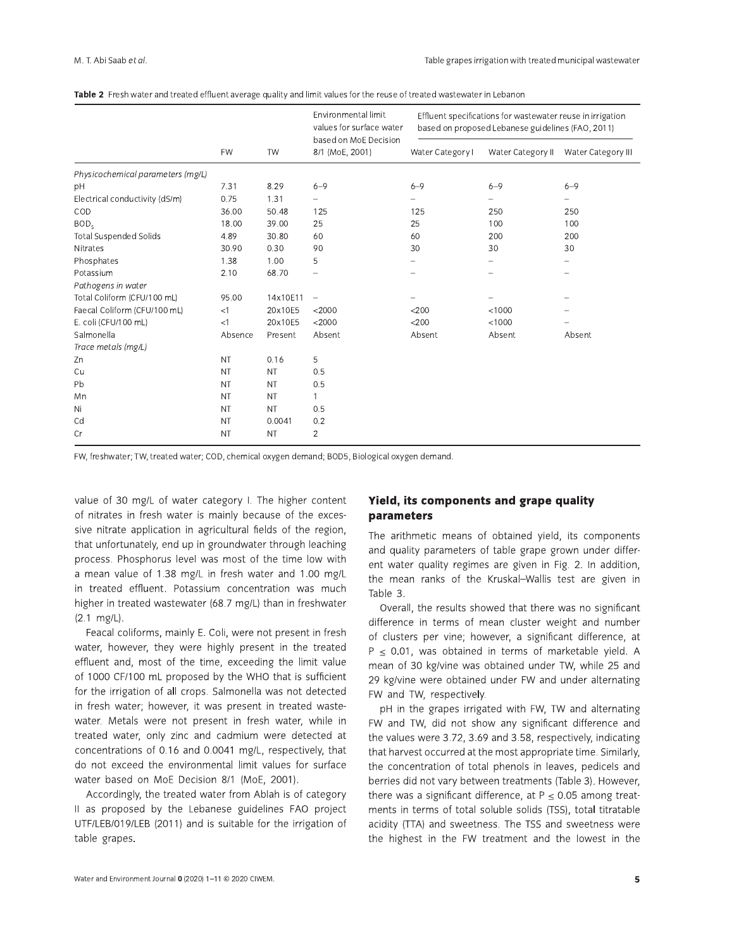|                                   |           |           | Environmental limit<br>values for surface water<br>based on MoE Decision |                  | Effluent specifications for wastewater reuse in irrigation<br>based on proposed Lebanese guidelines (FAO, 2011) |                          |
|-----------------------------------|-----------|-----------|--------------------------------------------------------------------------|------------------|-----------------------------------------------------------------------------------------------------------------|--------------------------|
|                                   | <b>FW</b> | TW        | 8/1 (MoE, 2001)                                                          | Water Category I | Water Category II                                                                                               | Water Category III       |
| Physicochemical parameters (mg/L) |           |           |                                                                          |                  |                                                                                                                 |                          |
| pH                                | 7.31      | 8.29      | $6 - 9$                                                                  | $6 - 9$          | $6 - 9$                                                                                                         | $6 - 9$                  |
| Electrical conductivity (dS/m)    | 0.75      | 1.31      |                                                                          |                  |                                                                                                                 |                          |
| COD                               | 36.00     | 50.48     | 125                                                                      | 125              | 250                                                                                                             | 250                      |
| BOD <sub>6</sub>                  | 18.00     | 39.00     | 25                                                                       | 25               | 100                                                                                                             | 100                      |
| <b>Total Suspended Solids</b>     | 4.89      | 30.80     | 60                                                                       | 60               | 200                                                                                                             | 200                      |
| <b>Nitrates</b>                   | 30.90     | 0.30      | 90                                                                       | 30               | 30                                                                                                              | 30                       |
| Phosphates                        | 1.38      | 1.00      | 5                                                                        | -                | -                                                                                                               | $\overline{\phantom{0}}$ |
| Potassium                         | 2.10      | 68.70     | -                                                                        |                  |                                                                                                                 |                          |
| Pathogens in water                |           |           |                                                                          |                  |                                                                                                                 |                          |
| Total Coliform (CFU/100 mL)       | 95.00     | 14x10E11  | $\qquad \qquad -$                                                        |                  |                                                                                                                 |                          |
| Faecal Coliform (CFU/100 mL)      | <1        | 20x10E5   | $<$ 2000                                                                 | $<$ 200          | < 1000                                                                                                          |                          |
| E. coli (CFU/100 mL)              | <1        | 20x10E5   | $<$ 2000                                                                 | $<$ 200          | < 1000                                                                                                          |                          |
| Salmonella                        | Absence   | Present   | Absent                                                                   | Absent           | Absent                                                                                                          | Absent                   |
| Trace metals (mg/L)               |           |           |                                                                          |                  |                                                                                                                 |                          |
| Zn                                | <b>NT</b> | 0.16      | 5                                                                        |                  |                                                                                                                 |                          |
| Cu                                | <b>NT</b> | <b>NT</b> | 0.5                                                                      |                  |                                                                                                                 |                          |
| Pb                                | <b>NT</b> | <b>NT</b> | 0.5                                                                      |                  |                                                                                                                 |                          |
| Mn                                | <b>NT</b> | <b>NT</b> | 1                                                                        |                  |                                                                                                                 |                          |
| Ni                                | <b>NT</b> | <b>NT</b> | 0.5                                                                      |                  |                                                                                                                 |                          |
| Cd                                | <b>NT</b> | 0.0041    | 0.2                                                                      |                  |                                                                                                                 |                          |
| Cr                                | <b>NT</b> | <b>NT</b> | $\overline{2}$                                                           |                  |                                                                                                                 |                          |

FW, freshwater; TW, treated water; COD, chemical oxygen demand; BOD5, Biological oxygen demand.

value of 30 mg/L of water category I. The higher content of nitrates in fresh water is mainly because of the excessive nitrate application in agricultural fields of the region, that unfortunately, end up in groundwater through leaching process. Phosphorus level was most of the time low with a mean value of 1.38 mg/L in fresh water and 1.00 mg/L in treated effluent. Potassium concentration was much higher in treated wastewater (68.7 mg/L) than in freshwater  $(2.1 \text{ mg/L}).$ 

Feacal coliforms, mainly E. Coli, were not present in fresh water, however, they were highly present in the treated effluent and, most of the time, exceeding the limit value of 1000 CF/100 mL proposed by the WHO that is sufficient for the irrigation of all crops. Salmonella was not detected in fresh water; however, it was present in treated wastewater. Metals were not present in fresh water, while in treated water, only zinc and cadmium were detected at concentrations of 0.16 and 0.0041 mg/L, respectively, that do not exceed the environmental limit values for surface water based on MoE Decision 8/1 (MoE, 2001).

Accordingly, the treated water from Ablah is of category II as proposed by the Lebanese guidelines FAO project UTF/LEB/019/LEB (2011) and is suitable for the irrigation of table grapes.

### Yield, its components and grape quality parameters

The arithmetic means of obtained yield, its components and quality parameters of table grape grown under different water quality regimes are given in Fig. 2. In addition, the mean ranks of the Kruskal-Wallis test are given in Table 3.

Overall, the results showed that there was no significant difference in terms of mean cluster weight and number of clusters per vine; however, a significant difference, at  $P \le 0.01$ , was obtained in terms of marketable yield. A mean of 30 kg/vine was obtained under TW, while 25 and 29 kg/vine were obtained under FW and under alternating FW and TW, respectively.

pH in the grapes irrigated with FW. TW and alternating FW and TW, did not show any significant difference and the values were 3.72, 3.69 and 3.58, respectively, indicating that harvest occurred at the most appropriate time. Similarly, the concentration of total phenols in leaves, pedicels and berries did not vary between treatments (Table 3). However, there was a significant difference, at  $P \le 0.05$  among treatments in terms of total soluble solids (TSS), total titratable acidity (TTA) and sweetness. The TSS and sweetness were the highest in the FW treatment and the lowest in the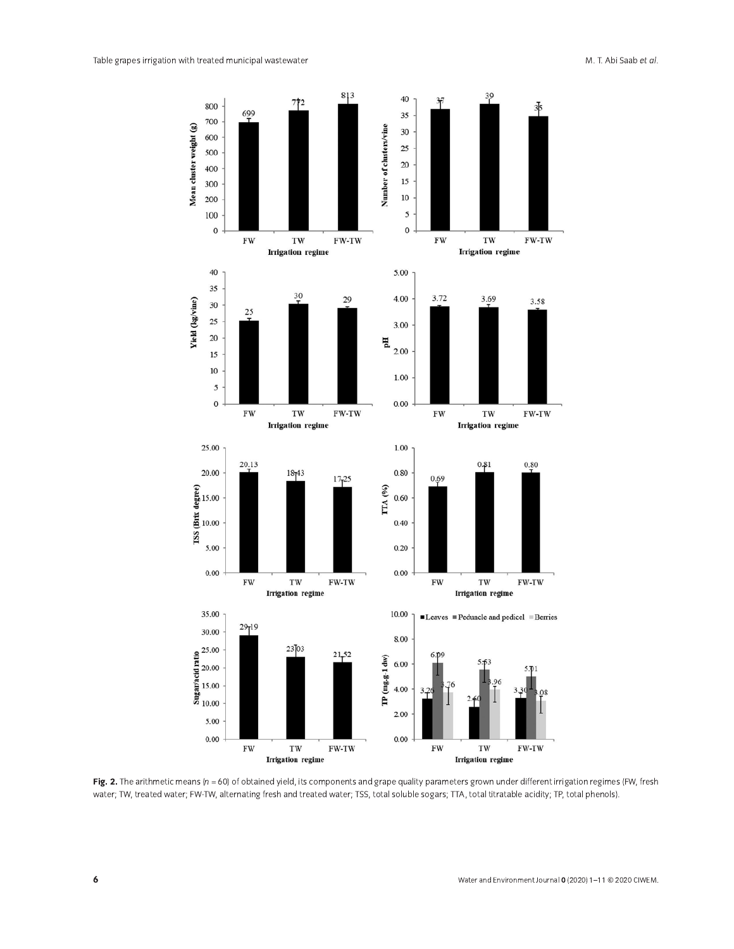

Fig. 2. The arithmetic means (n = 60) of obtained yield, its components and grape quality parameters grown under different irrigation regimes (FW, fresh water; TW, treated water; FW-TW, alternating fresh and treated water; TSS, total soluble sogars; TTA, total titratable acidity; TP, total phenols).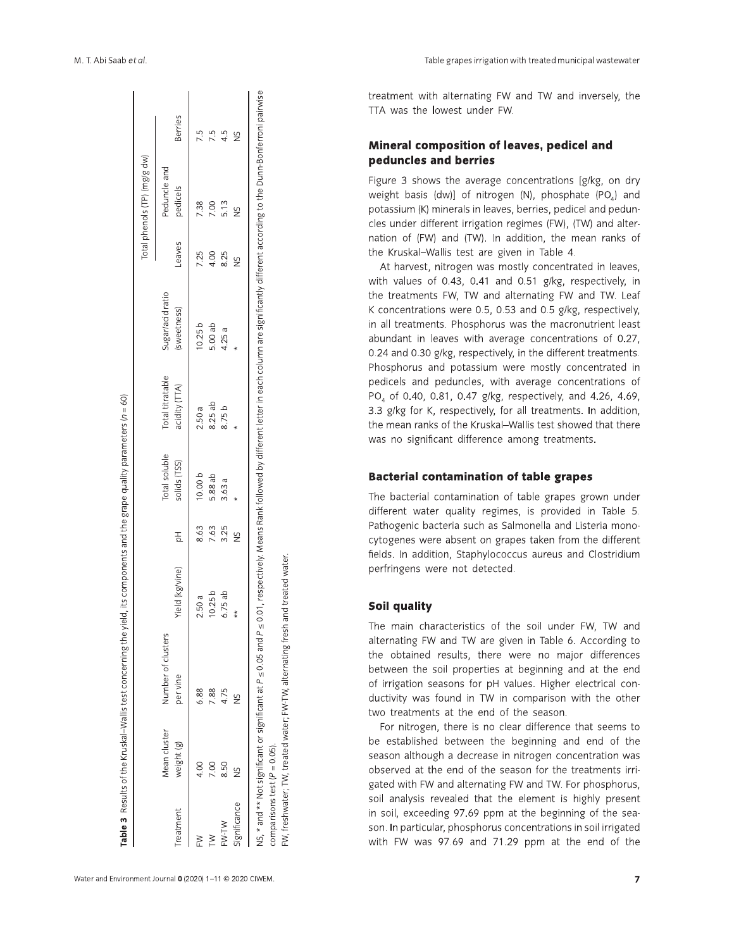|              |                            |                                |                    |      |                               |                                   |                                | Total phenols (TP) (mg/g dw) |                          |                |
|--------------|----------------------------|--------------------------------|--------------------|------|-------------------------------|-----------------------------------|--------------------------------|------------------------------|--------------------------|----------------|
| reatment     | Mean cluster<br>weight (g) | Number of clusters<br>per vine | Yield (kg/vine)    | 공    | Total soluble<br>solids (TSS) | Total titratable<br>acidity (TTA) | Sugar/acid ratio<br>sweetness) | eaves                        | Peduncle and<br>pedicels | <b>Berries</b> |
|              | 4.00                       | 6.88                           | 2.50a              | 8.63 | 10.00b                        | 2.50a                             | 10.25 <sub>b</sub>             | 7.25                         | 7.38                     | 51             |
|              | So                         | <sup>28</sup>                  | 10.25 <sub>b</sub> | 7.63 | 5.88 ab                       | 8.25ab                            | 5.00ab                         | 4.00                         | 7.00                     | LŊ.            |
| W-TW         | 8.50                       | 4.75                           | 6.75ab             | 3.25 | 3.63a                         | 8.75b                             | 4.25 a                         | 8.25                         | 5.13                     | ب              |
| Significance |                            |                                | $\ast$             | SN   |                               |                                   |                                |                              | $\frac{5}{2}$            | $\frac{5}{2}$  |

freshwater; TW, treated water; FW-TW, alternating fresh and treated water  $\geq$ 

treatment with alternating FW and TW and inversely, the TTA was the lowest under FW.

### Mineral composition of leaves, pedicel and peduncles and berries

Figure 3 shows the average concentrations [g/kg, on dry weight basis (dw)] of nitrogen (N), phosphate (PO<sub>4</sub>) and potassium (K) minerals in leaves, berries, pedicel and peduncles under different irrigation regimes (FW), (TW) and alternation of (FW) and (TW). In addition, the mean ranks of the Kruskal-Wallis test are given in Table 4.

At harvest, nitrogen was mostly concentrated in leaves, with values of 0.43, 0.41 and 0.51 g/kg, respectively, in the treatments FW, TW and alternating FW and TW. Leaf K concentrations were 0.5, 0.53 and 0.5 g/kg, respectively, in all treatments. Phosphorus was the macronutrient least abundant in leaves with average concentrations of 0.27. 0.24 and 0.30 g/kg, respectively, in the different treatments. Phosphorus and potassium were mostly concentrated in pedicels and peduncles, with average concentrations of PO<sub>4</sub> of 0.40, 0.81, 0.47 g/kg, respectively, and 4.26, 4.69, 3.3 g/kg for K, respectively, for all treatments. In addition, the mean ranks of the Kruskal-Wallis test showed that there was no significant difference among treatments.

## **Bacterial contamination of table grapes**

The bacterial contamination of table grapes grown under different water quality regimes, is provided in Table 5. Pathogenic bacteria such as Salmonella and Listeria monocytogenes were absent on grapes taken from the different fields. In addition, Staphylococcus aureus and Clostridium perfringens were not detected.

## Soil quality

The main characteristics of the soil under FW, TW and alternating FW and TW are given in Table 6. According to the obtained results, there were no major differences between the soil properties at beginning and at the end of irrigation seasons for pH values. Higher electrical conductivity was found in TW in comparison with the other two treatments at the end of the season.

For nitrogen, there is no clear difference that seems to be established between the beginning and end of the season although a decrease in nitrogen concentration was observed at the end of the season for the treatments irrigated with FW and alternating FW and TW. For phosphorus, soil analysis revealed that the element is highly present in soil, exceeding 97.69 ppm at the beginning of the season. In particular, phosphorus concentrations in soil irrigated with FW was 97.69 and 71.29 ppm at the end of the

**fable 3** Results of the Kruskal-Wallis test concerning the yield, its components and the grape quality parameters (n = 60)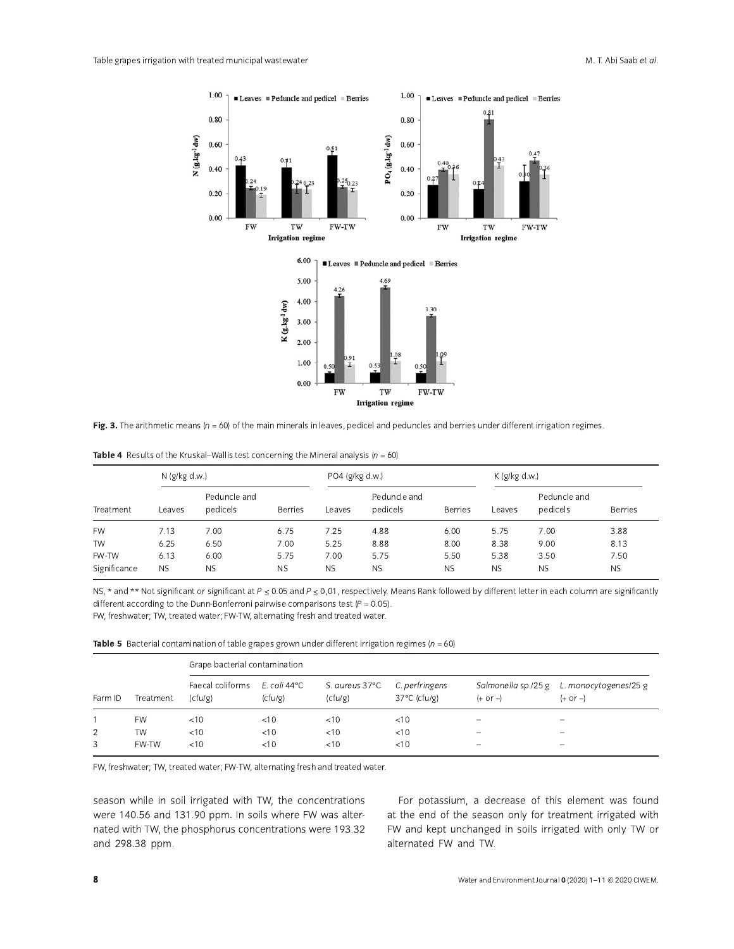

Fig. 3. The arithmetic means  $(n = 60)$  of the main minerals in leaves, pedicel and peduncles and berries under different irrigation regimes.

|  |  |  | <b>Table 4</b> Results of the Kruskal–Wallis test concerning the Mineral analysis ( $n = 60$ ) |  |  |  |
|--|--|--|------------------------------------------------------------------------------------------------|--|--|--|
|--|--|--|------------------------------------------------------------------------------------------------|--|--|--|

|              | N (g/kg d.w.) |                          |                |           | $PO4$ (g/kg d.w.)        |                |           | K (g/kg d.w.)            |                |  |
|--------------|---------------|--------------------------|----------------|-----------|--------------------------|----------------|-----------|--------------------------|----------------|--|
| Treatment    | Leaves        | Peduncle and<br>pedicels | <b>Berries</b> | Leaves    | Peduncle and<br>pedicels | <b>Berries</b> | Leaves    | Peduncle and<br>pedicels | <b>Berries</b> |  |
| <b>FW</b>    | 7.13          | 7.00                     | 6.75           | 7.25      | 4.88                     | 6.00           | 5.75      | 7.00                     | 3.88           |  |
| TW           | 6.25          | 6.50                     | 7.00           | 5.25      | 8.88                     | 8.00           | 8.38      | 9.00                     | 8.13           |  |
| FW-TW        | 6.13          | 6.00                     | 5.75           | 7.00      | 5.75                     | 5.50           | 5.38      | 3.50                     | 7.50           |  |
| Significance | <b>NS</b>     | <b>NS</b>                | <b>NS</b>      | <b>NS</b> | <b>NS</b>                | <b>NS</b>      | <b>NS</b> | <b>NS</b>                | <b>NS</b>      |  |

NS, \* and \*\* Not significant or significant at  $P \le 0.05$  and  $P \le 0.01$ , respectively. Means Rank followed by different letter in each column are significantly different according to the Dunn-Bonferroni pairwise comparisons test ( $P = 0.05$ ).

FW, freshwater; TW, treated water; FW-TW, alternating fresh and treated water.

Table 5 Bacterial contamination of table grapes grown under different irrigation regimes ( $n = 60$ )

|         |           |                             | Grape bacterial contamination |                           |                                          |                          |                                                         |  |  |  |
|---------|-----------|-----------------------------|-------------------------------|---------------------------|------------------------------------------|--------------------------|---------------------------------------------------------|--|--|--|
| Farm ID | Treatment | Faecal coliforms<br>(cfu/g) | E. coli 44°C<br>(cfu/g)       | S. aureus 37°C<br>(cfu/g) | C. perfringens<br>$37^{\circ}$ C (cfu/g) | $(+ or -)$               | Salmonella sp./25 g L. monocytogenes/25 g<br>$(+ or -)$ |  |  |  |
|         | <b>FW</b> | $<$ 10                      | $<$ 10                        | $<$ 10                    | $<$ 10                                   | $\overline{\phantom{a}}$ |                                                         |  |  |  |
| 2       | TW        | < 10                        | < 10                          | < 10                      | < 10                                     |                          | -                                                       |  |  |  |
| 3       | FW-TW     | $<$ 10                      | $<$ 10                        | <10                       | $<$ 10                                   | $\overline{\phantom{a}}$ | $\overline{\phantom{a}}$                                |  |  |  |

FW, freshwater; TW, treated water; FW-TW, alternating fresh and treated water.

season while in soil irrigated with TW, the concentrations were 140.56 and 131.90 ppm. In soils where FW was alternated with TW, the phosphorus concentrations were 193.32 and 298.38 ppm.

For potassium, a decrease of this element was found at the end of the season only for treatment irrigated with FW and kept unchanged in soils irrigated with only TW or alternated FW and TW.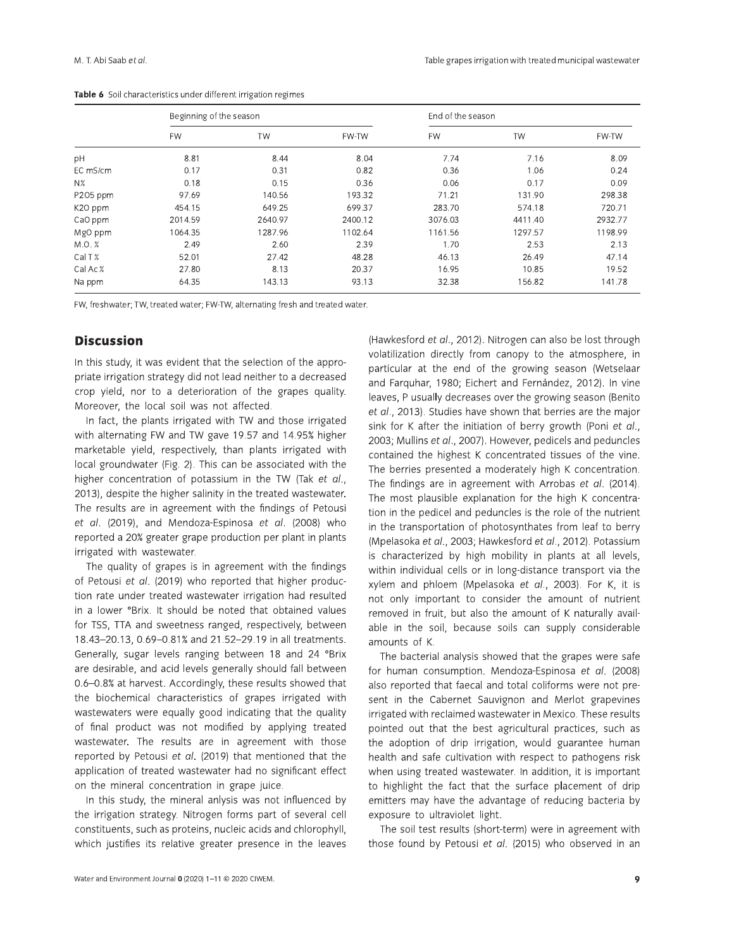|          | Beginning of the season |         |         | End of the season |         |         |  |
|----------|-------------------------|---------|---------|-------------------|---------|---------|--|
|          | <b>FW</b>               | TW      | FW-TW   | <b>FW</b>         | TW      | FW-TW   |  |
| pH       | 8.81                    | 8.44    | 8.04    | 7.74              | 7.16    | 8.09    |  |
| EC mS/cm | 0.17                    | 0.31    | 0.82    | 0.36              | 1.06    | 0.24    |  |
| $N\%$    | 0.18                    | 0.15    | 0.36    | 0.06              | 0.17    | 0.09    |  |
| P2O5 ppm | 97.69                   | 140.56  | 193.32  | 71.21             | 131.90  | 298.38  |  |
| K2O ppm  | 454.15                  | 649.25  | 699.37  | 283.70            | 574.18  | 720.71  |  |
| CaO ppm  | 2014.59                 | 2640.97 | 2400.12 | 3076.03           | 4411.40 | 2932.77 |  |
| MgO ppm  | 1064.35                 | 1287.96 | 1102.64 | 1161.56           | 1297.57 | 1198.99 |  |
| M.O. %   | 2.49                    | 2.60    | 2.39    | 1.70              | 2.53    | 2.13    |  |
| Cal T %  | 52.01                   | 27.42   | 48.28   | 46.13             | 26.49   | 47.14   |  |
| Cal Ac % | 27.80                   | 8.13    | 20.37   | 16.95             | 10.85   | 19.52   |  |
| Na ppm   | 64.35                   | 143.13  | 93.13   | 32.38             | 156.82  | 141.78  |  |

Table 6 Soil characteristics under different irrigation regimes

FW, freshwater; TW, treated water; FW-TW, alternating fresh and treated water.

## **Discussion**

In this study, it was evident that the selection of the appropriate irrigation strategy did not lead neither to a decreased crop yield, nor to a deterioration of the grapes quality. Moreover, the local soil was not affected.

In fact, the plants irrigated with TW and those irrigated with alternating FW and TW gave 19.57 and 14.95% higher marketable yield, respectively, than plants irrigated with local groundwater (Fig. 2). This can be associated with the higher concentration of potassium in the TW (Tak et al., 2013), despite the higher salinity in the treated wastewater. The results are in agreement with the findings of Petousi et al. (2019), and Mendoza-Espinosa et al. (2008) who reported a 20% greater grape production per plant in plants irrigated with wastewater.

The quality of grapes is in agreement with the findings of Petousi et al. (2019) who reported that higher production rate under treated wastewater irrigation had resulted in a lower *P*Brix. It should be noted that obtained values for TSS, TTA and sweetness ranged, respectively, between 18.43-20.13, 0.69-0.81% and 21.52-29.19 in all treatments. Generally, sugar levels ranging between 18 and 24 °Brix are desirable, and acid levels generally should fall between 0.6-0.8% at harvest. Accordingly, these results showed that the biochemical characteristics of grapes irrigated with wastewaters were equally good indicating that the quality of final product was not modified by applying treated wastewater. The results are in agreement with those reported by Petousi et al. (2019) that mentioned that the application of treated wastewater had no significant effect on the mineral concentration in grape juice.

In this study, the mineral anlysis was not influenced by the irrigation strategy. Nitrogen forms part of several cell constituents, such as proteins, nucleic acids and chlorophyll, which justifies its relative greater presence in the leaves

(Hawkesford et al., 2012). Nitrogen can also be lost through volatilization directly from canopy to the atmosphere, in particular at the end of the growing season (Wetselaar and Farquhar, 1980; Eichert and Fernández, 2012). In vine leaves, P usually decreases over the growing season (Benito) et al., 2013). Studies have shown that berries are the major sink for K after the initiation of berry growth (Poni et al., 2003; Mullins et al., 2007). However, pedicels and peduncles contained the highest K concentrated tissues of the vine. The berries presented a moderately high K concentration. The findings are in agreement with Arrobas et al. (2014). The most plausible explanation for the high K concentration in the pedicel and peduncles is the role of the nutrient in the transportation of photosynthates from leaf to berry (Mpelasoka et al., 2003; Hawkesford et al., 2012). Potassium is characterized by high mobility in plants at all levels, within individual cells or in long-distance transport via the xylem and phloem (Mpelasoka et al., 2003). For K, it is not only important to consider the amount of nutrient removed in fruit, but also the amount of K naturally available in the soil, because soils can supply considerable amounts of K.

The bacterial analysis showed that the grapes were safe for human consumption. Mendoza-Espinosa et al. (2008) also reported that faecal and total coliforms were not present in the Cabernet Sauvignon and Merlot grapevines irrigated with reclaimed wastewater in Mexico. These results pointed out that the best agricultural practices, such as the adoption of drip irrigation, would guarantee human health and safe cultivation with respect to pathogens risk when using treated wastewater. In addition, it is important to highlight the fact that the surface placement of drip emitters may have the advantage of reducing bacteria by exposure to ultraviolet light.

The soil test results (short-term) were in agreement with those found by Petousi et al. (2015) who observed in an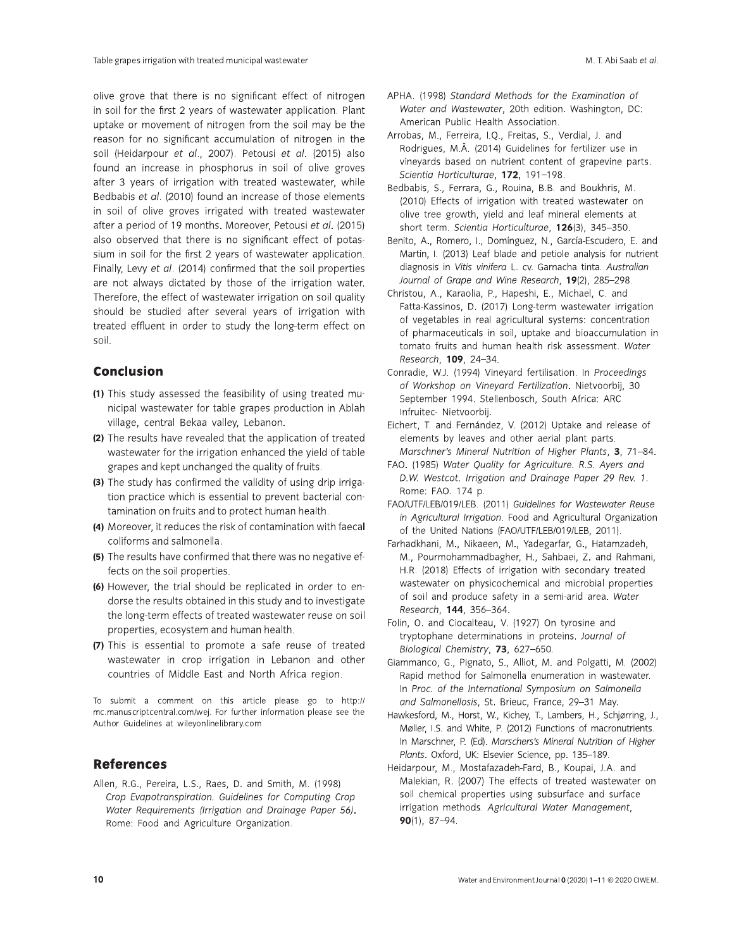olive grove that there is no significant effect of nitrogen in soil for the first 2 years of wastewater application. Plant uptake or movement of nitrogen from the soil may be the reason for no significant accumulation of nitrogen in the soil (Heidarpour et al., 2007). Petousi et al. (2015) also found an increase in phosphorus in soil of olive groves after 3 years of irrigation with treated wastewater, while Bedbabis et al. (2010) found an increase of those elements in soil of olive groves irrigated with treated wastewater after a period of 19 months. Moreover, Petousi et al. (2015) also observed that there is no significant effect of potassium in soil for the first 2 years of wastewater application. Finally, Levy et al. (2014) confirmed that the soil properties are not always dictated by those of the irrigation water. Therefore, the effect of wastewater irrigation on soil quality should be studied after several years of irrigation with treated effluent in order to study the long-term effect on soil.

## **Conclusion**

- (1) This study assessed the feasibility of using treated municipal wastewater for table grapes production in Ablah village, central Bekaa valley, Lebanon.
- (2) The results have revealed that the application of treated wastewater for the irrigation enhanced the yield of table grapes and kept unchanged the quality of fruits.
- (3) The study has confirmed the validity of using drip irrigation practice which is essential to prevent bacterial contamination on fruits and to protect human health.
- (4) Moreover, it reduces the risk of contamination with faecal coliforms and salmonella.
- (5) The results have confirmed that there was no negative effects on the soil properties.
- (6) However, the trial should be replicated in order to endorse the results obtained in this study and to investigate the long-term effects of treated wastewater reuse on soil properties, ecosystem and human health.
- (7) This is essential to promote a safe reuse of treated wastewater in crop irrigation in Lebanon and other countries of Middle East and North Africa region.

To submit a comment on this article please go to http:// mc.manuscriptcentral.com/wej. For further information please see the Author Guidelines at wileyonlinelibrary.com

# **References**

Allen, R.G., Pereira, L.S., Raes, D. and Smith, M. (1998) Crop Evapotranspiration. Guidelines for Computing Crop Water Requirements (Irrigation and Drainage Paper 56). Rome: Food and Agriculture Organization.

- APHA. (1998) Standard Methods for the Examination of Water and Wastewater, 20th edition. Washington, DC: American Public Health Association.
- Arrobas, M., Ferreira, I.Q., Freitas, S., Verdial, J. and Rodrigues, M.Â. (2014) Guidelines for fertilizer use in vineyards based on nutrient content of grapevine parts. Scientia Horticulturae, 172, 191-198.
- Bedbabis, S., Ferrara, G., Rouina, B.B. and Boukhris, M. (2010) Effects of irrigation with treated wastewater on olive tree growth, yield and leaf mineral elements at short term. Scientia Horticulturae, 126(3), 345-350.
- Benito, A., Romero, I., Domínguez, N., García-Escudero, E. and Martín, I. (2013) Leaf blade and petiole analysis for nutrient diagnosis in Vitis vinifera L. cv. Garnacha tinta. Australian Journal of Grape and Wine Research, 19(2), 285-298.
- Christou, A., Karaolia, P., Hapeshi, E., Michael, C. and Fatta-Kassinos, D. (2017) Long-term wastewater irrigation of vegetables in real agricultural systems: concentration of pharmaceuticals in soil, uptake and bioaccumulation in tomato fruits and human health risk assessment. Water Research, 109, 24-34.
- Conradie, W.J. (1994) Vineyard fertilisation. In Proceedings of Workshop on Vineyard Fertilization. Nietvoorbij, 30 September 1994. Stellenbosch, South Africa: ARC Infruitec- Nietvoorbij.
- Eichert, T. and Fernández, V. (2012) Uptake and release of elements by leaves and other aerial plant parts. Marschner's Mineral Nutrition of Higher Plants, 3, 71–84.
- FAO. (1985) Water Quality for Agriculture. R.S. Ayers and D.W. Westcot. Irrigation and Drainage Paper 29 Rev. 1. Rome: FAO, 174 p.
- FAO/UTF/LEB/019/LEB. (2011) Guidelines for Wastewater Reuse in Agricultural Irrigation. Food and Agricultural Organization of the United Nations (FAO/UTF/LEB/019/LEB, 2011).
- Farhadkhani, M., Nikaeen, M., Yadegarfar, G., Hatamzadeh, M., Pourmohammadbagher, H., Sahbaei, Z. and Rahmani, H.R. (2018) Effects of irrigation with secondary treated wastewater on physicochemical and microbial properties of soil and produce safety in a semi-arid area. Water Research, 144, 356-364.
- Folin, O. and Ciocalteau, V. (1927) On tyrosine and tryptophane determinations in proteins. Journal of Biological Chemistry, 73, 627-650.
- Giammanco, G., Pignato, S., Alliot, M. and Polgatti, M. (2002) Rapid method for Salmonella enumeration in wastewater. In Proc. of the International Symposium on Salmonella and Salmonellosis, St. Brieuc, France, 29-31 May.
- Hawkesford, M., Horst, W., Kichey, T., Lambers, H., Schiørring, J., Møller, I.S. and White, P. (2012) Functions of macronutrients. In Marschner, P. (Ed). Marschers's Mineral Nutrition of Higher Plants. Oxford, UK: Elsevier Science, pp. 135-189.
- Heidarpour, M., Mostafazadeh-Fard, B., Koupai, J.A. and Malekian, R. (2007) The effects of treated wastewater on soil chemical properties using subsurface and surface irrigation methods. Agricultural Water Management,  $90(1), 87-94.$